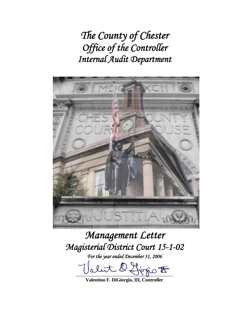*The County of Chester Office of the Controller Internal Audit Department* 



# *Management Letter Magisterial District Court 15-1-02*

*For the year ended December 31, 2006* 

let l'Horio  $t$ 

**Valentino F. DiGiorgio, III, Controller**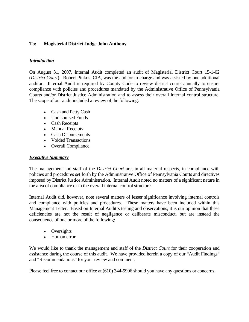# **To: Magisterial District Judge John Anthony**

## *Introduction*

On August 31, 2007, Internal Audit completed an audit of Magisterial District Court 15-1-02 (*District Court*). Robert Pinkos, CIA, was the auditor-in-charge and was assisted by one additional auditor. Internal Audit is required by County Code to review district courts annually to ensure compliance with policies and procedures mandated by the Administrative Office of Pennsylvania Courts and/or District Justice Administration and to assess their overall internal control structure. The scope of our audit included a review of the following:

- Cash and Petty Cash
- Undisbursed Funds
- Cash Receipts
- Manual Receipts
- Cash Disbursements
- Voided Transactions
- Overall Compliance.

#### *Executive Summary*

The management and staff of the *District Court* are, in all material respects, in compliance with policies and procedures set forth by the Administrative Office of Pennsylvania Courts and directives imposed by District Justice Administration. Internal Audit noted no matters of a significant nature in the area of compliance or in the overall internal control structure.

Internal Audit did, however, note several matters of lesser significance involving internal controls and compliance with policies and procedures. These matters have been included within this Management Letter. Based on Internal Audit's testing and observations, it is our opinion that these deficiencies are not the result of negligence or deliberate misconduct, but are instead the consequence of one or more of the following:

- Oversights
- Human error

We would like to thank the management and staff of the *District Court* for their cooperation and assistance during the course of this audit. We have provided herein a copy of our "Audit Findings" and "Recommendations" for your review and comment.

Please feel free to contact our office at (610) 344-5906 should you have any questions or concerns.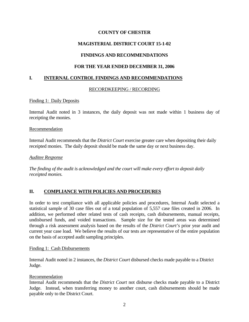# **MAGISTERIAL DISTRICT COURT 15-1-02**

# **FINDINGS AND RECOMMENDATIONS**

# **FOR THE YEAR ENDED DECEMBER 31, 2006**

## **I. INTERNAL CONTROL FINDINGS AND RECOMMENDATIONS**

#### RECORDKEEPING / RECORDING

#### Finding 1: Daily Deposits

Internal Audit noted in 3 instances, the daily deposit was not made within 1 business day of receipting the monies.

#### **Recommendation**

Internal Audit recommends that the *District Court* exercise greater care when depositing their daily receipted monies. The daily deposit should be made the same day or next business day.

#### *Auditee Response*

*The finding of the audit is acknowledged and the court will make every effort to deposit daily receipted monies.* 

# **II. COMPLIANCE WITH POLICIES AND PROCEDURES**

In order to test compliance with all applicable policies and procedures, Internal Audit selected a statistical sample of 30 case files out of a total population of 5,557 case files created in 2006. In addition, we performed other related tests of cash receipts, cash disbursements, manual receipts, undisbursed funds, and voided transactions. Sample size for the tested areas was determined through a risk assessment analysis based on the results of the *District Court's* prior year audit and current year case load. We believe the results of our tests are representative of the entire population on the basis of accepted audit sampling principles.

#### Finding 1: Cash Disbursements

Internal Audit noted in 2 instances, the *District Court* disbursed checks made payable to a District Judge.

#### Recommendation

Internal Audit recommends that the *District Court* not disburse checks made payable to a District Judge. Instead, when transferring money to another court, cash disbursements should be made payable only to the District Court.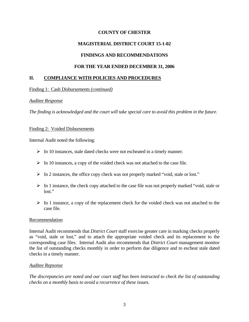# **MAGISTERIAL DISTRICT COURT 15-1-02**

## **FINDINGS AND RECOMMENDATIONS**

## **FOR THE YEAR ENDED DECEMBER 31, 2006**

## **II. COMPLIANCE WITH POLICIES AND PROCEDURES**

#### Finding 1: Cash Disbursements *(continued)*

#### *Auditee Response*

*The finding is acknowledged and the court will take special care to avoid this problem in the future.* 

#### Finding 2: Voided Disbursements

Internal Audit noted the following:

- $\triangleright$  In 10 instances, stale dated checks were not escheated in a timely manner.
- $\triangleright$  In 10 instances, a copy of the voided check was not attached to the case file.
- ¾ In 2 instances, the office copy check was not properly marked "void, stale or lost."
- $\triangleright$  In 1 instance, the check copy attached to the case file was not properly marked "void, stale or lost."
- $\triangleright$  In 1 instance, a copy of the replacement check for the voided check was not attached to the case file.

#### Recommendation

Internal Audit recommends that *District Court* staff exercise greater care in marking checks properly as "void, stale or lost," and to attach the appropriate voided check and its replacement to the corresponding case files. Internal Audit also recommends that *District Court* management monitor the list of outstanding checks monthly in order to perform due diligence and to escheat stale dated checks in a timely manner.

#### *Auditee Repsonse*

*The discrepancies are noted and our court staff has been instructed to check the list of outstanding checks on a monthly basis to avoid a recurrence of these issues.*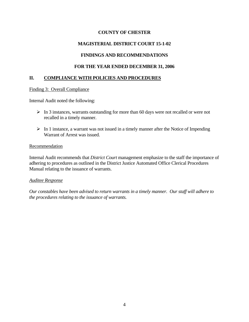# **MAGISTERIAL DISTRICT COURT 15-1-02**

# **FINDINGS AND RECOMMENDATIONS**

# **FOR THE YEAR ENDED DECEMBER 31, 2006**

# **II. COMPLIANCE WITH POLICIES AND PROCEDURES**

## Finding 3: Overall Compliance

Internal Audit noted the following:

- $\triangleright$  In 3 instances, warrants outstanding for more than 60 days were not recalled or were not recalled in a timely manner.
- $\triangleright$  In 1 instance, a warrant was not issued in a timely manner after the Notice of Impending Warrant of Arrest was issued.

## **Recommendation**

Internal Audit recommends that *District Court* management emphasize to the staff the importance of adhering to procedures as outlined in the District Justice Automated Office Clerical Procedures Manual relating to the issuance of warrants.

# *Auditee Response*

*Our constables have been advised to return warrants in a timely manner. Our staff will adhere to the procedures relating to the issuance of warrants.*